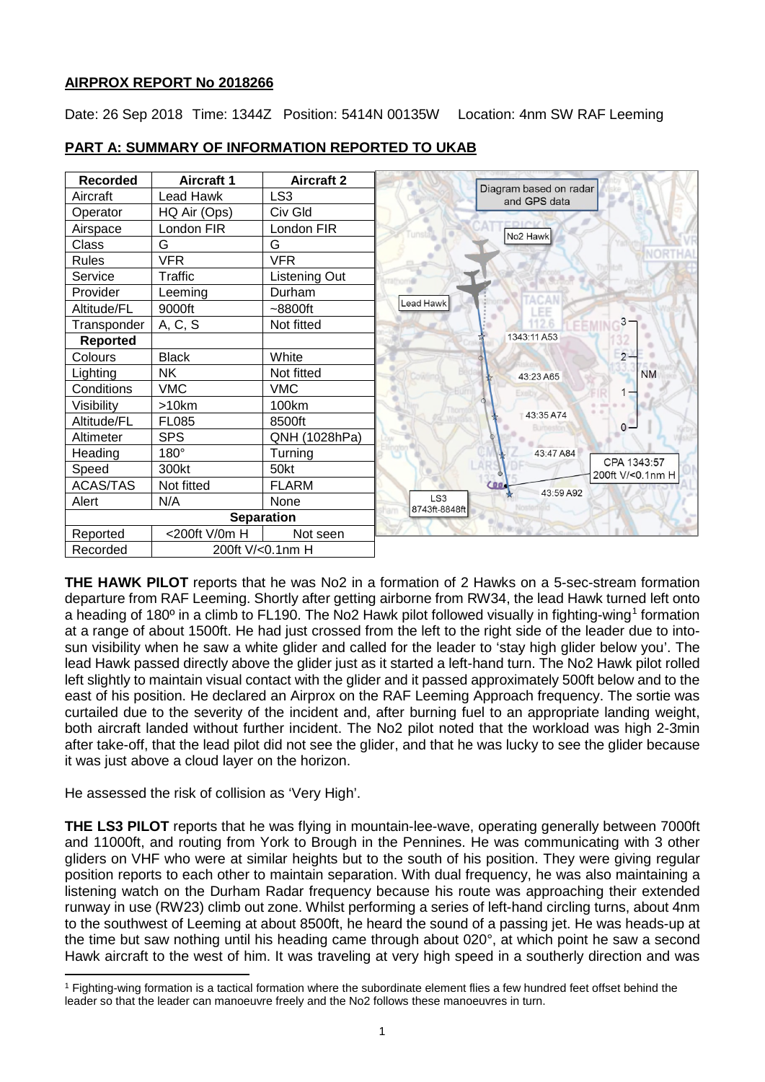## **AIRPROX REPORT No 2018266**

Date: 26 Sep 2018 Time: 1344Z Position: 5414N 00135W Location: 4nm SW RAF Leeming



### **PART A: SUMMARY OF INFORMATION REPORTED TO UKAB**

**THE HAWK PILOT** reports that he was No2 in a formation of 2 Hawks on a 5-sec-stream formation departure from RAF Leeming. Shortly after getting airborne from RW34, the lead Hawk turned left onto a heading of 180º in a climb to FL190. The No2 Hawk pilot followed visually in fighting-wing[1](#page-0-0) formation at a range of about 1500ft. He had just crossed from the left to the right side of the leader due to intosun visibility when he saw a white glider and called for the leader to 'stay high glider below you'. The lead Hawk passed directly above the glider just as it started a left-hand turn. The No2 Hawk pilot rolled left slightly to maintain visual contact with the glider and it passed approximately 500ft below and to the east of his position. He declared an Airprox on the RAF Leeming Approach frequency. The sortie was curtailed due to the severity of the incident and, after burning fuel to an appropriate landing weight, both aircraft landed without further incident. The No2 pilot noted that the workload was high 2-3min after take-off, that the lead pilot did not see the glider, and that he was lucky to see the glider because it was just above a cloud layer on the horizon.

He assessed the risk of collision as 'Very High'.

l

**THE LS3 PILOT** reports that he was flying in mountain-lee-wave, operating generally between 7000ft and 11000ft, and routing from York to Brough in the Pennines. He was communicating with 3 other gliders on VHF who were at similar heights but to the south of his position. They were giving regular position reports to each other to maintain separation. With dual frequency, he was also maintaining a listening watch on the Durham Radar frequency because his route was approaching their extended runway in use (RW23) climb out zone. Whilst performing a series of left-hand circling turns, about 4nm to the southwest of Leeming at about 8500ft, he heard the sound of a passing jet. He was heads-up at the time but saw nothing until his heading came through about 020°, at which point he saw a second Hawk aircraft to the west of him. It was traveling at very high speed in a southerly direction and was

<span id="page-0-0"></span><sup>1</sup> Fighting-wing formation is a tactical formation where the subordinate element flies a few hundred feet offset behind the leader so that the leader can manoeuvre freely and the No2 follows these manoeuvres in turn.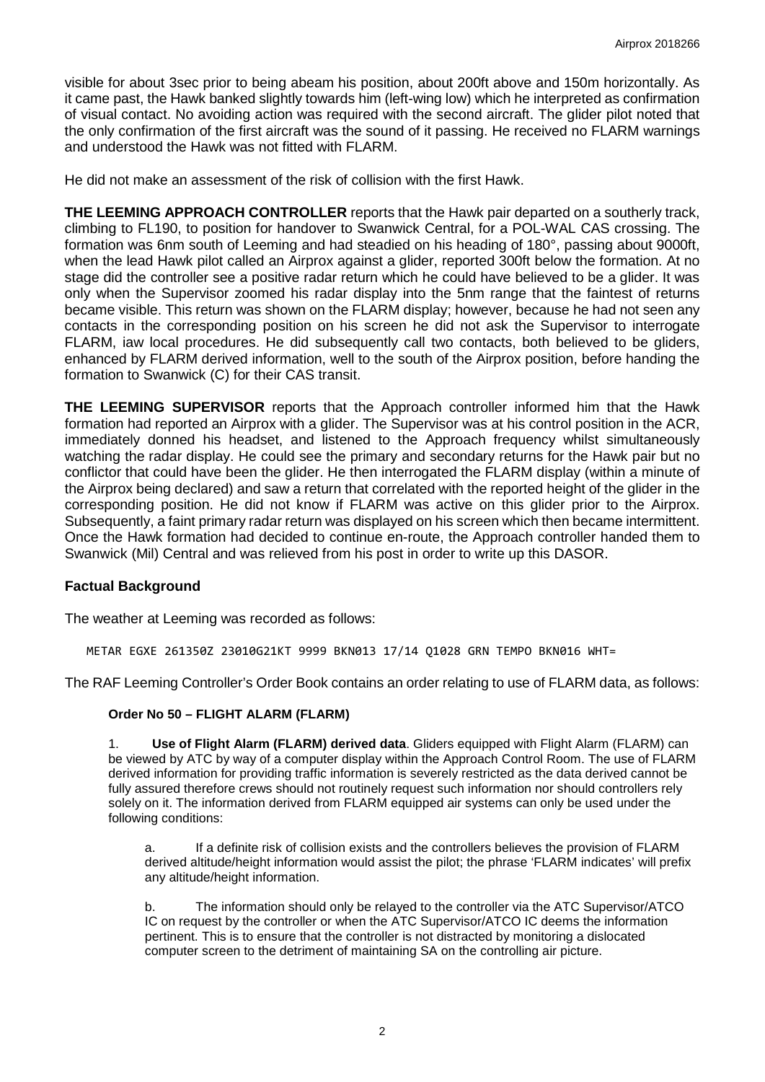visible for about 3sec prior to being abeam his position, about 200ft above and 150m horizontally. As it came past, the Hawk banked slightly towards him (left-wing low) which he interpreted as confirmation of visual contact. No avoiding action was required with the second aircraft. The glider pilot noted that the only confirmation of the first aircraft was the sound of it passing. He received no FLARM warnings and understood the Hawk was not fitted with FLARM.

He did not make an assessment of the risk of collision with the first Hawk.

**THE LEEMING APPROACH CONTROLLER** reports that the Hawk pair departed on a southerly track, climbing to FL190, to position for handover to Swanwick Central, for a POL-WAL CAS crossing. The formation was 6nm south of Leeming and had steadied on his heading of 180°, passing about 9000ft, when the lead Hawk pilot called an Airprox against a glider, reported 300ft below the formation. At no stage did the controller see a positive radar return which he could have believed to be a glider. It was only when the Supervisor zoomed his radar display into the 5nm range that the faintest of returns became visible. This return was shown on the FLARM display; however, because he had not seen any contacts in the corresponding position on his screen he did not ask the Supervisor to interrogate FLARM, iaw local procedures. He did subsequently call two contacts, both believed to be gliders, enhanced by FLARM derived information, well to the south of the Airprox position, before handing the formation to Swanwick (C) for their CAS transit.

**THE LEEMING SUPERVISOR** reports that the Approach controller informed him that the Hawk formation had reported an Airprox with a glider. The Supervisor was at his control position in the ACR, immediately donned his headset, and listened to the Approach frequency whilst simultaneously watching the radar display. He could see the primary and secondary returns for the Hawk pair but no conflictor that could have been the glider. He then interrogated the FLARM display (within a minute of the Airprox being declared) and saw a return that correlated with the reported height of the glider in the corresponding position. He did not know if FLARM was active on this glider prior to the Airprox. Subsequently, a faint primary radar return was displayed on his screen which then became intermittent. Once the Hawk formation had decided to continue en-route, the Approach controller handed them to Swanwick (Mil) Central and was relieved from his post in order to write up this DASOR.

### **Factual Background**

The weather at Leeming was recorded as follows:

METAR EGXE 261350Z 23010G21KT 9999 BKN013 17/14 Q1028 GRN TEMPO BKN016 WHT=

The RAF Leeming Controller's Order Book contains an order relating to use of FLARM data, as follows:

### **Order No 50 – FLIGHT ALARM (FLARM)**

1. **Use of Flight Alarm (FLARM) derived data**. Gliders equipped with Flight Alarm (FLARM) can be viewed by ATC by way of a computer display within the Approach Control Room. The use of FLARM derived information for providing traffic information is severely restricted as the data derived cannot be fully assured therefore crews should not routinely request such information nor should controllers rely solely on it. The information derived from FLARM equipped air systems can only be used under the following conditions:

a. If a definite risk of collision exists and the controllers believes the provision of FLARM derived altitude/height information would assist the pilot; the phrase 'FLARM indicates' will prefix any altitude/height information.

b. The information should only be relayed to the controller via the ATC Supervisor/ATCO IC on request by the controller or when the ATC Supervisor/ATCO IC deems the information pertinent. This is to ensure that the controller is not distracted by monitoring a dislocated computer screen to the detriment of maintaining SA on the controlling air picture.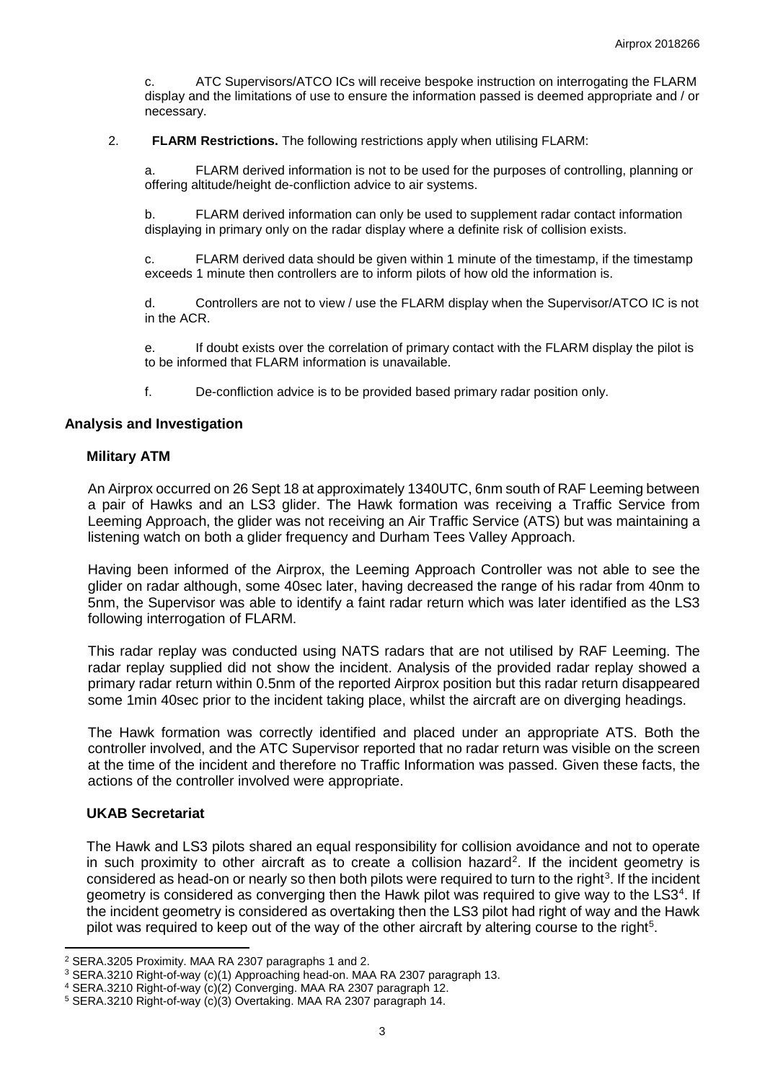c. ATC Supervisors/ATCO ICs will receive bespoke instruction on interrogating the FLARM display and the limitations of use to ensure the information passed is deemed appropriate and / or necessary.

#### 2. **FLARM Restrictions.** The following restrictions apply when utilising FLARM:

a. FLARM derived information is not to be used for the purposes of controlling, planning or offering altitude/height de-confliction advice to air systems.

b. FLARM derived information can only be used to supplement radar contact information displaying in primary only on the radar display where a definite risk of collision exists.

c. FLARM derived data should be given within 1 minute of the timestamp, if the timestamp exceeds 1 minute then controllers are to inform pilots of how old the information is.

d. Controllers are not to view / use the FLARM display when the Supervisor/ATCO IC is not in the ACR.

e. If doubt exists over the correlation of primary contact with the FLARM display the pilot is to be informed that FLARM information is unavailable.

f. De-confliction advice is to be provided based primary radar position only.

### **Analysis and Investigation**

### **Military ATM**

An Airprox occurred on 26 Sept 18 at approximately 1340UTC, 6nm south of RAF Leeming between a pair of Hawks and an LS3 glider. The Hawk formation was receiving a Traffic Service from Leeming Approach, the glider was not receiving an Air Traffic Service (ATS) but was maintaining a listening watch on both a glider frequency and Durham Tees Valley Approach.

Having been informed of the Airprox, the Leeming Approach Controller was not able to see the glider on radar although, some 40sec later, having decreased the range of his radar from 40nm to 5nm, the Supervisor was able to identify a faint radar return which was later identified as the LS3 following interrogation of FLARM.

This radar replay was conducted using NATS radars that are not utilised by RAF Leeming. The radar replay supplied did not show the incident. Analysis of the provided radar replay showed a primary radar return within 0.5nm of the reported Airprox position but this radar return disappeared some 1min 40sec prior to the incident taking place, whilst the aircraft are on diverging headings.

The Hawk formation was correctly identified and placed under an appropriate ATS. Both the controller involved, and the ATC Supervisor reported that no radar return was visible on the screen at the time of the incident and therefore no Traffic Information was passed. Given these facts, the actions of the controller involved were appropriate.

### **UKAB Secretariat**

 $\overline{a}$ 

The Hawk and LS3 pilots shared an equal responsibility for collision avoidance and not to operate in such proximity to other aircraft as to create a collision hazard<sup>[2](#page-2-0)</sup>. If the incident geometry is considered as head-on or nearly so then both pilots were required to turn to the right<sup>[3](#page-2-1)</sup>. If the incident geometry is considered as converging then the Hawk pilot was required to give way to the LS3<sup>[4](#page-2-2)</sup>. If the incident geometry is considered as overtaking then the LS3 pilot had right of way and the Hawk pilot was required to keep out of the way of the other aircraft by altering course to the right<sup>[5](#page-2-3)</sup>.

<span id="page-2-0"></span><sup>2</sup> SERA.3205 Proximity. MAA RA 2307 paragraphs 1 and 2.

<span id="page-2-1"></span><sup>3</sup> SERA.3210 Right-of-way (c)(1) Approaching head-on. MAA RA 2307 paragraph 13.

<span id="page-2-2"></span><sup>4</sup> SERA.3210 Right-of-way (c)(2) Converging. MAA RA 2307 paragraph 12.

<span id="page-2-3"></span><sup>5</sup> SERA.3210 Right-of-way (c)(3) Overtaking. MAA RA 2307 paragraph 14.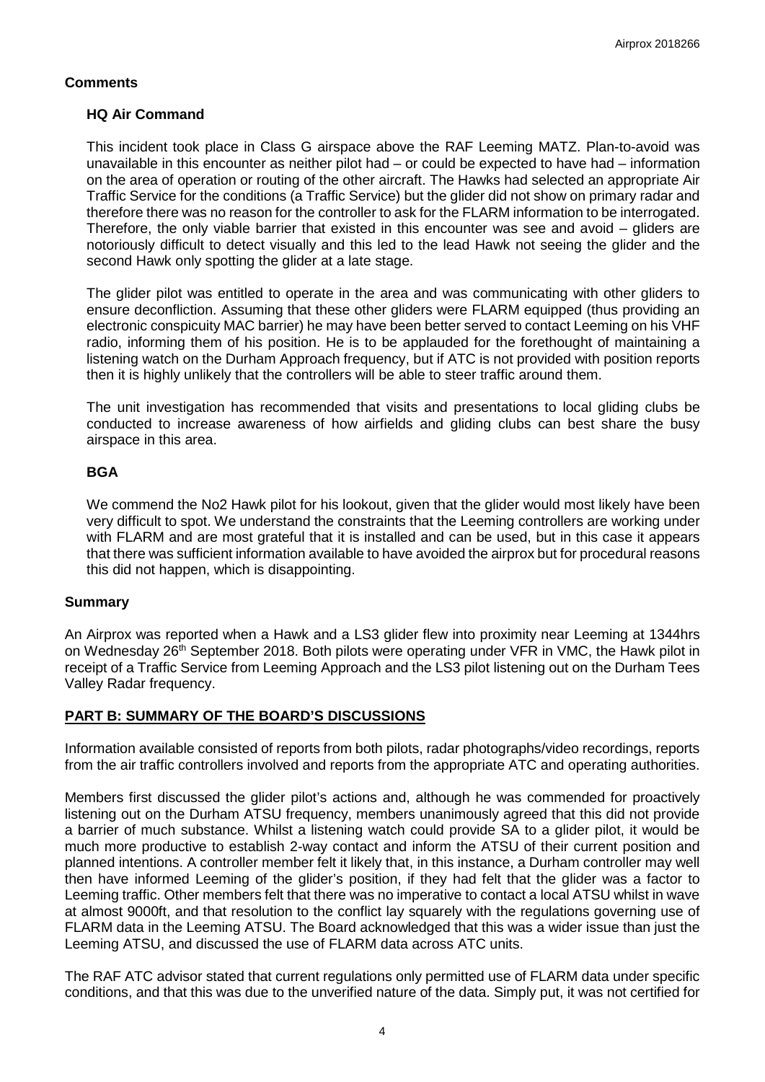## **Comments**

## **HQ Air Command**

This incident took place in Class G airspace above the RAF Leeming MATZ. Plan-to-avoid was unavailable in this encounter as neither pilot had – or could be expected to have had – information on the area of operation or routing of the other aircraft. The Hawks had selected an appropriate Air Traffic Service for the conditions (a Traffic Service) but the glider did not show on primary radar and therefore there was no reason for the controller to ask for the FLARM information to be interrogated. Therefore, the only viable barrier that existed in this encounter was see and avoid – gliders are notoriously difficult to detect visually and this led to the lead Hawk not seeing the glider and the second Hawk only spotting the glider at a late stage.

The glider pilot was entitled to operate in the area and was communicating with other gliders to ensure deconfliction. Assuming that these other gliders were FLARM equipped (thus providing an electronic conspicuity MAC barrier) he may have been better served to contact Leeming on his VHF radio, informing them of his position. He is to be applauded for the forethought of maintaining a listening watch on the Durham Approach frequency, but if ATC is not provided with position reports then it is highly unlikely that the controllers will be able to steer traffic around them.

The unit investigation has recommended that visits and presentations to local gliding clubs be conducted to increase awareness of how airfields and gliding clubs can best share the busy airspace in this area.

# **BGA**

We commend the No2 Hawk pilot for his lookout, given that the glider would most likely have been very difficult to spot. We understand the constraints that the Leeming controllers are working under with FLARM and are most grateful that it is installed and can be used, but in this case it appears that there was sufficient information available to have avoided the airprox but for procedural reasons this did not happen, which is disappointing.

## **Summary**

An Airprox was reported when a Hawk and a LS3 glider flew into proximity near Leeming at 1344hrs on Wednesday 26<sup>th</sup> September 2018. Both pilots were operating under VFR in VMC, the Hawk pilot in receipt of a Traffic Service from Leeming Approach and the LS3 pilot listening out on the Durham Tees Valley Radar frequency.

# **PART B: SUMMARY OF THE BOARD'S DISCUSSIONS**

Information available consisted of reports from both pilots, radar photographs/video recordings, reports from the air traffic controllers involved and reports from the appropriate ATC and operating authorities.

Members first discussed the glider pilot's actions and, although he was commended for proactively listening out on the Durham ATSU frequency, members unanimously agreed that this did not provide a barrier of much substance. Whilst a listening watch could provide SA to a glider pilot, it would be much more productive to establish 2-way contact and inform the ATSU of their current position and planned intentions. A controller member felt it likely that, in this instance, a Durham controller may well then have informed Leeming of the glider's position, if they had felt that the glider was a factor to Leeming traffic. Other members felt that there was no imperative to contact a local ATSU whilst in wave at almost 9000ft, and that resolution to the conflict lay squarely with the regulations governing use of FLARM data in the Leeming ATSU. The Board acknowledged that this was a wider issue than just the Leeming ATSU, and discussed the use of FLARM data across ATC units.

The RAF ATC advisor stated that current regulations only permitted use of FLARM data under specific conditions, and that this was due to the unverified nature of the data. Simply put, it was not certified for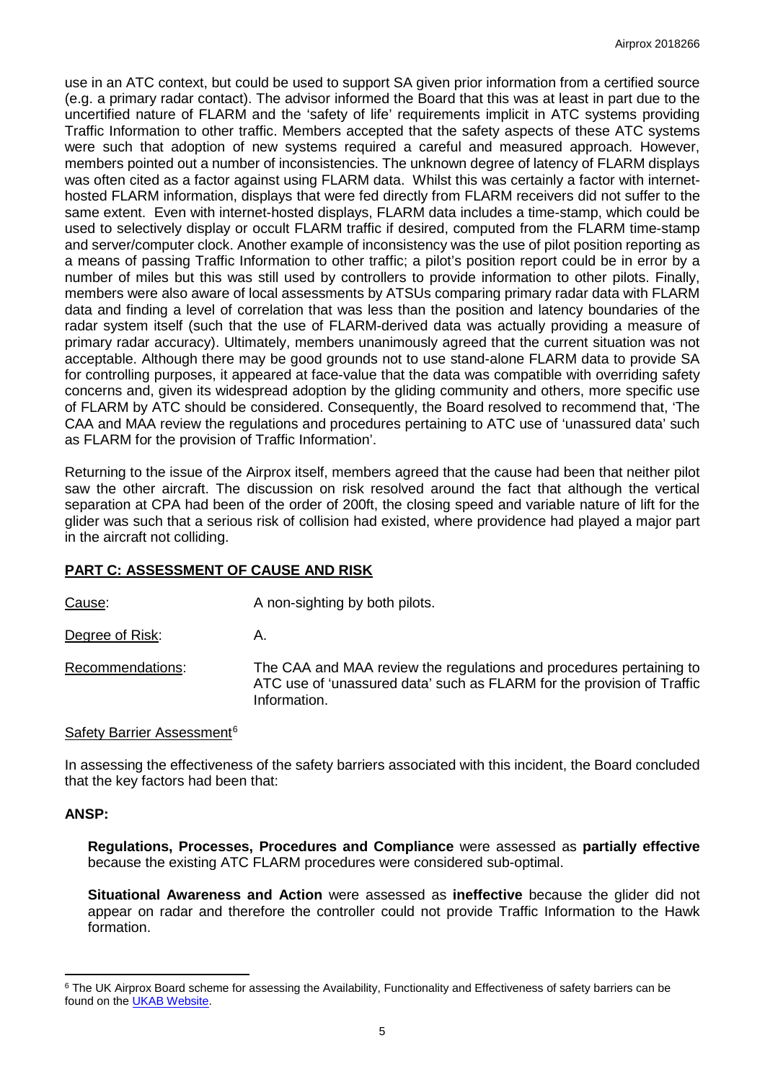use in an ATC context, but could be used to support SA given prior information from a certified source (e.g. a primary radar contact). The advisor informed the Board that this was at least in part due to the uncertified nature of FLARM and the 'safety of life' requirements implicit in ATC systems providing Traffic Information to other traffic. Members accepted that the safety aspects of these ATC systems were such that adoption of new systems required a careful and measured approach. However, members pointed out a number of inconsistencies. The unknown degree of latency of FLARM displays was often cited as a factor against using FLARM data. Whilst this was certainly a factor with internethosted FLARM information, displays that were fed directly from FLARM receivers did not suffer to the same extent. Even with internet-hosted displays, FLARM data includes a time-stamp, which could be used to selectively display or occult FLARM traffic if desired, computed from the FLARM time-stamp and server/computer clock. Another example of inconsistency was the use of pilot position reporting as a means of passing Traffic Information to other traffic; a pilot's position report could be in error by a number of miles but this was still used by controllers to provide information to other pilots. Finally, members were also aware of local assessments by ATSUs comparing primary radar data with FLARM data and finding a level of correlation that was less than the position and latency boundaries of the radar system itself (such that the use of FLARM-derived data was actually providing a measure of primary radar accuracy). Ultimately, members unanimously agreed that the current situation was not acceptable. Although there may be good grounds not to use stand-alone FLARM data to provide SA for controlling purposes, it appeared at face-value that the data was compatible with overriding safety concerns and, given its widespread adoption by the gliding community and others, more specific use of FLARM by ATC should be considered. Consequently, the Board resolved to recommend that, 'The CAA and MAA review the regulations and procedures pertaining to ATC use of 'unassured data' such as FLARM for the provision of Traffic Information'.

Returning to the issue of the Airprox itself, members agreed that the cause had been that neither pilot saw the other aircraft. The discussion on risk resolved around the fact that although the vertical separation at CPA had been of the order of 200ft, the closing speed and variable nature of lift for the glider was such that a serious risk of collision had existed, where providence had played a major part in the aircraft not colliding.

## **PART C: ASSESSMENT OF CAUSE AND RISK**

Cause: Cause: A non-sighting by both pilots.

Degree of Risk: A.

Recommendations: The CAA and MAA review the regulations and procedures pertaining to ATC use of 'unassured data' such as FLARM for the provision of Traffic Information.

### Safety Barrier Assessment<sup>[6](#page-4-0)</sup>

In assessing the effectiveness of the safety barriers associated with this incident, the Board concluded that the key factors had been that:

### **ANSP:**

l

**Regulations, Processes, Procedures and Compliance** were assessed as **partially effective** because the existing ATC FLARM procedures were considered sub-optimal.

**Situational Awareness and Action** were assessed as **ineffective** because the glider did not appear on radar and therefore the controller could not provide Traffic Information to the Hawk formation.

<span id="page-4-0"></span><sup>&</sup>lt;sup>6</sup> The UK Airprox Board scheme for assessing the Availability, Functionality and Effectiveness of safety barriers can be found on the **UKAB Website**.